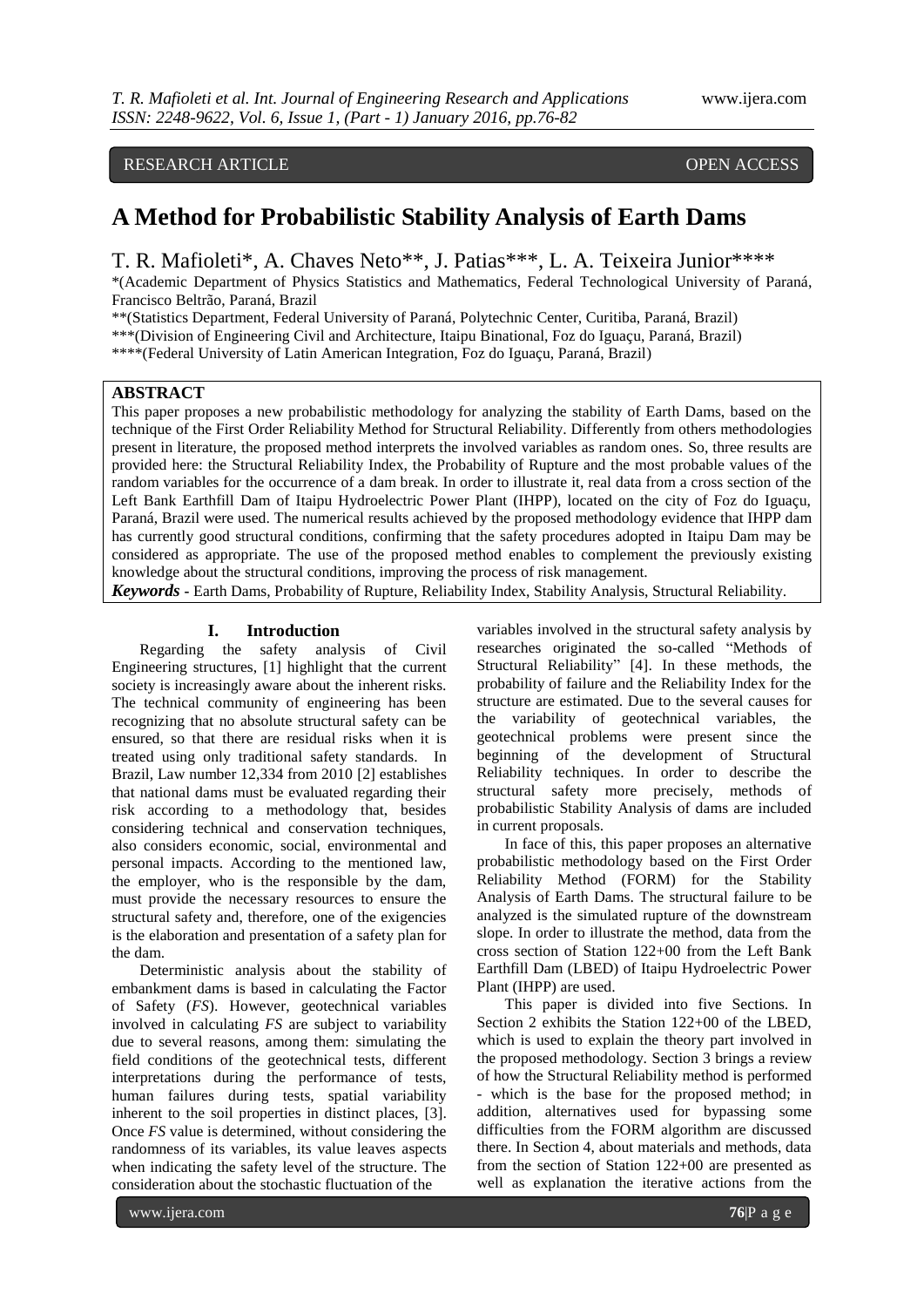# RESEARCH ARTICLE OPEN ACCESS

# **A Method for Probabilistic Stability Analysis of Earth Dams**

T. R. Mafioleti\*, A. Chaves Neto\*\*, J. Patias\*\*\*, L. A. Teixeira Junior\*\*\*\*

\*(Academic Department of Physics Statistics and Mathematics, Federal Technological University of Paraná, Francisco Beltrão, Paraná, Brazil

\*\*(Statistics Department, Federal University of Paraná, Polytechnic Center, Curitiba, Paraná, Brazil)

\*\*\*(Division of Engineering Civil and Architecture, Itaipu Binational, Foz do Iguaçu, Paraná, Brazil)

\*\*\*\*(Federal University of Latin American Integration, Foz do Iguaçu, Paraná, Brazil)

# **ABSTRACT**

This paper proposes a new probabilistic methodology for analyzing the stability of Earth Dams, based on the technique of the First Order Reliability Method for Structural Reliability. Differently from others methodologies present in literature, the proposed method interprets the involved variables as random ones. So, three results are provided here: the Structural Reliability Index, the Probability of Rupture and the most probable values of the random variables for the occurrence of a dam break. In order to illustrate it, real data from a cross section of the Left Bank Earthfill Dam of Itaipu Hydroelectric Power Plant (IHPP), located on the city of Foz do Iguaçu, Paraná, Brazil were used. The numerical results achieved by the proposed methodology evidence that IHPP dam has currently good structural conditions, confirming that the safety procedures adopted in Itaipu Dam may be considered as appropriate. The use of the proposed method enables to complement the previously existing knowledge about the structural conditions, improving the process of risk management.

*Keywords* **-** Earth Dams, Probability of Rupture, Reliability Index, Stability Analysis, Structural Reliability.

#### **I. Introduction**

Regarding the safety analysis of Civil Engineering structures, [1] highlight that the current society is increasingly aware about the inherent risks. The technical community of engineering has been recognizing that no absolute structural safety can be ensured, so that there are residual risks when it is treated using only traditional safety standards. In Brazil, Law number 12,334 from 2010 [2] establishes that national dams must be evaluated regarding their risk according to a methodology that, besides considering technical and conservation techniques, also considers economic, social, environmental and personal impacts. According to the mentioned law, the employer, who is the responsible by the dam, must provide the necessary resources to ensure the structural safety and, therefore, one of the exigencies is the elaboration and presentation of a safety plan for the dam.

Deterministic analysis about the stability of embankment dams is based in calculating the Factor of Safety (*FS*). However, geotechnical variables involved in calculating *FS* are subject to variability due to several reasons, among them: simulating the field conditions of the geotechnical tests, different interpretations during the performance of tests, human failures during tests, spatial variability inherent to the soil properties in distinct places, [3]. Once *FS* value is determined, without considering the randomness of its variables, its value leaves aspects when indicating the safety level of the structure. The consideration about the stochastic fluctuation of the

variables involved in the structural safety analysis by researches originated the so-called "Methods of Structural Reliability" [4]. In these methods, the probability of failure and the Reliability Index for the structure are estimated. Due to the several causes for the variability of geotechnical variables, the geotechnical problems were present since the beginning of the development of Structural Reliability techniques. In order to describe the structural safety more precisely, methods of probabilistic Stability Analysis of dams are included in current proposals.

In face of this, this paper proposes an alternative probabilistic methodology based on the First Order Reliability Method (FORM) for the Stability Analysis of Earth Dams. The structural failure to be analyzed is the simulated rupture of the downstream slope. In order to illustrate the method, data from the cross section of Station 122+00 from the Left Bank Earthfill Dam (LBED) of Itaipu Hydroelectric Power Plant (IHPP) are used.

This paper is divided into five Sections. In Section 2 exhibits the Station 122+00 of the LBED, which is used to explain the theory part involved in the proposed methodology. Section 3 brings a review of how the Structural Reliability method is performed - which is the base for the proposed method; in addition, alternatives used for bypassing some difficulties from the FORM algorithm are discussed there. In Section 4, about materials and methods, data from the section of Station 122+00 are presented as well as explanation the iterative actions from the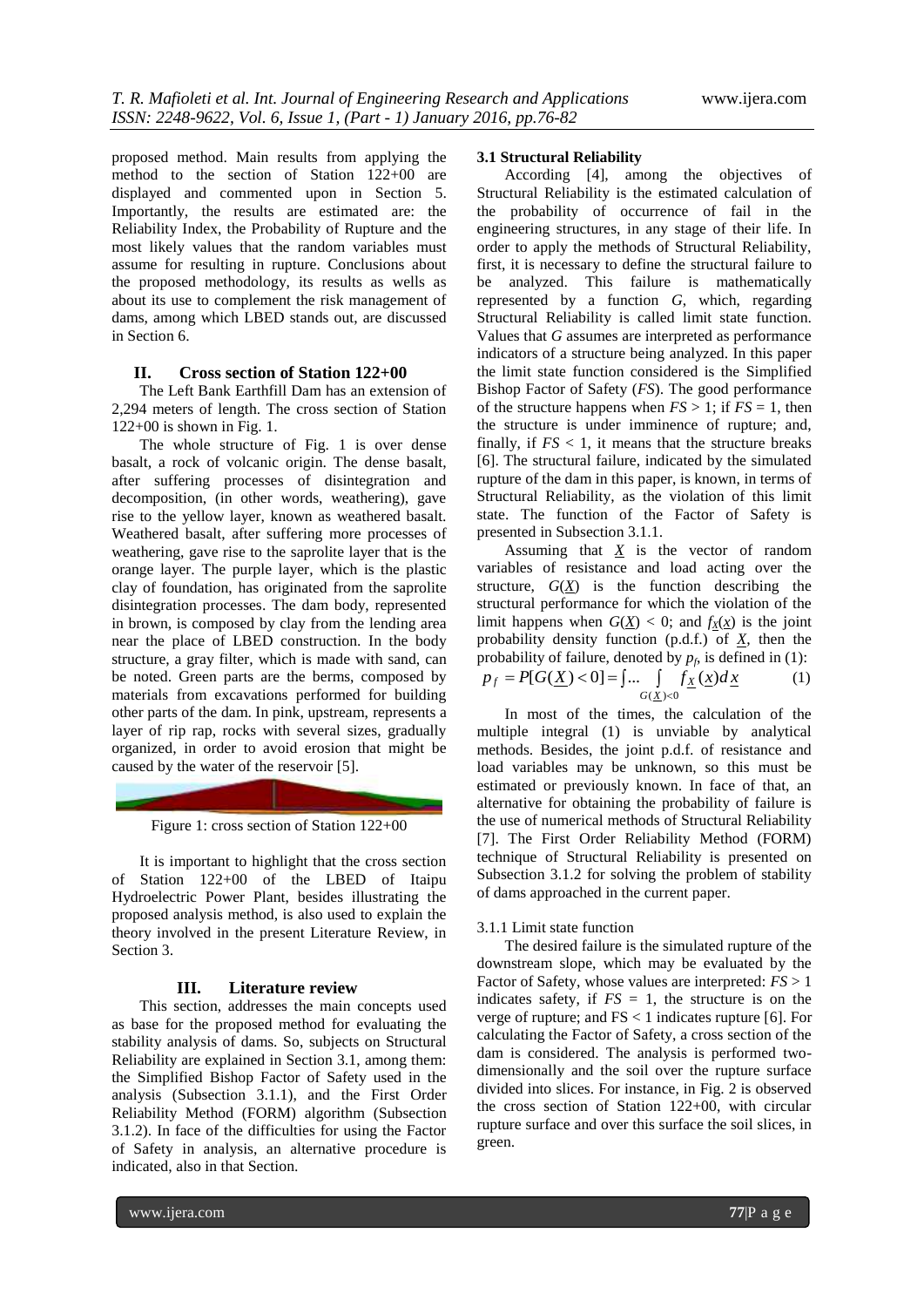proposed method. Main results from applying the method to the section of Station 122+00 are displayed and commented upon in Section 5. Importantly, the results are estimated are: the Reliability Index, the Probability of Rupture and the most likely values that the random variables must assume for resulting in rupture. Conclusions about the proposed methodology, its results as wells as about its use to complement the risk management of dams, among which LBED stands out, are discussed in Section 6.

#### **II. Cross section of Station 122+00**

The Left Bank Earthfill Dam has an extension of 2,294 meters of length. The cross section of Station 122+00 is shown in Fig. 1.

The whole structure of Fig. 1 is over dense basalt, a rock of volcanic origin. The dense basalt, after suffering processes of disintegration and decomposition, (in other words, weathering), gave rise to the yellow layer, known as weathered basalt. Weathered basalt, after suffering more processes of weathering, gave rise to the saprolite layer that is the orange layer. The purple layer, which is the plastic clay of foundation, has originated from the saprolite disintegration processes. The dam body, represented in brown, is composed by clay from the lending area near the place of LBED construction. In the body structure, a gray filter, which is made with sand, can be noted. Green parts are the berms, composed by materials from excavations performed for building other parts of the dam. In pink, upstream, represents a layer of rip rap, rocks with several sizes, gradually organized, in order to avoid erosion that might be caused by the water of the reservoir [5].

Figure 1: cross section of Station 122+00

It is important to highlight that the cross section of Station 122+00 of the LBED of Itaipu Hydroelectric Power Plant, besides illustrating the proposed analysis method, is also used to explain the theory involved in the present Literature Review, in Section 3.

#### **III. Literature review**

This section, addresses the main concepts used as base for the proposed method for evaluating the stability analysis of dams. So, subjects on Structural Reliability are explained in Section 3.1, among them: the Simplified Bishop Factor of Safety used in the analysis (Subsection 3.1.1), and the First Order Reliability Method (FORM) algorithm (Subsection 3.1.2). In face of the difficulties for using the Factor of Safety in analysis, an alternative procedure is indicated, also in that Section.

#### **3.1 Structural Reliability**

According [4], among the objectives of Structural Reliability is the estimated calculation of the probability of occurrence of fail in the engineering structures, in any stage of their life. In order to apply the methods of Structural Reliability, first, it is necessary to define the structural failure to be analyzed. This failure is mathematically represented by a function *G*, which, regarding Structural Reliability is called limit state function. Values that *G* assumes are interpreted as performance indicators of a structure being analyzed. In this paper the limit state function considered is the Simplified Bishop Factor of Safety (*FS*). The good performance of the structure happens when  $FS > 1$ ; if  $FS = 1$ , then the structure is under imminence of rupture; and, finally, if  $FS < 1$ , it means that the structure breaks [6]. The structural failure, indicated by the simulated rupture of the dam in this paper, is known, in terms of Structural Reliability, as the violation of this limit state. The function of the Factor of Safety is presented in Subsection 3.1.1.

Assuming that  $X$  is the vector of random variables of resistance and load acting over the structure,  $G(\underline{X})$  is the function describing the structural performance for which the violation of the limit happens when  $G(\underline{X}) < 0$ ; and  $f_X(\underline{x})$  is the joint probability density function (p.d.f.) of *X*, then the probability of failure, denoted by  $p_f$ , is defined in (1):

$$
p_f = P[G(\underline{X}) < 0] = \int \dots \int_{G(\underline{X}) < 0} f_{\underline{X}}(\underline{x}) d\underline{x} \tag{1}
$$

In most of the times, the calculation of the multiple integral (1) is unviable by analytical methods. Besides, the joint p.d.f. of resistance and load variables may be unknown, so this must be estimated or previously known. In face of that, an alternative for obtaining the probability of failure is the use of numerical methods of Structural Reliability [7]. The First Order Reliability Method (FORM) technique of Structural Reliability is presented on Subsection 3.1.2 for solving the problem of stability of dams approached in the current paper.

#### 3.1.1 Limit state function

The desired failure is the simulated rupture of the downstream slope, which may be evaluated by the Factor of Safety, whose values are interpreted: *FS* > 1 indicates safety, if  $FS = 1$ , the structure is on the verge of rupture; and  $FS < 1$  indicates rupture [6]. For calculating the Factor of Safety, a cross section of the dam is considered. The analysis is performed twodimensionally and the soil over the rupture surface divided into slices. For instance, in Fig. 2 is observed the cross section of Station 122+00, with circular rupture surface and over this surface the soil slices, in green.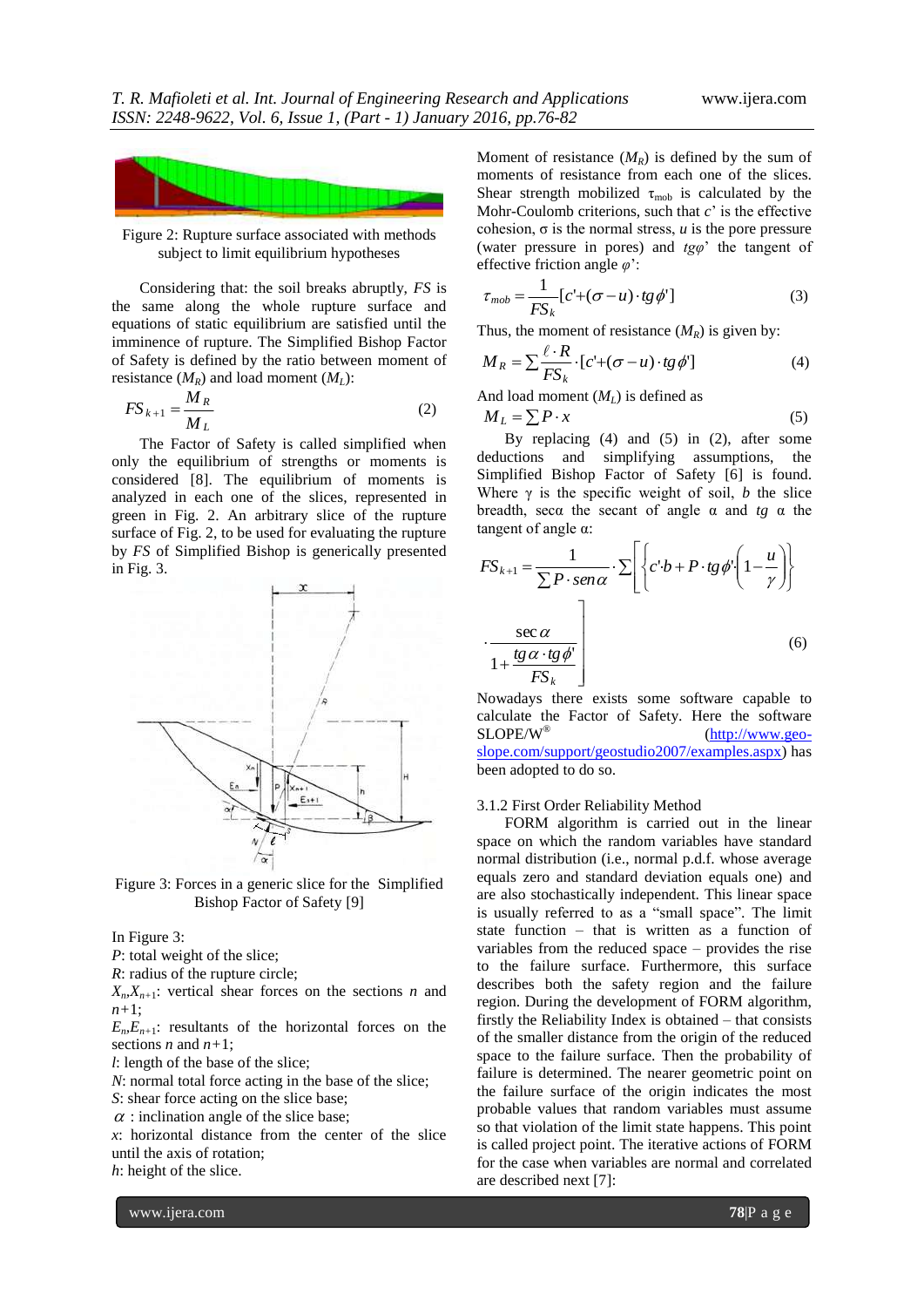

Figure 2: Rupture surface associated with methods subject to limit equilibrium hypotheses

Considering that: the soil breaks abruptly, *FS* is the same along the whole rupture surface and equations of static equilibrium are satisfied until the imminence of rupture. The Simplified Bishop Factor of Safety is defined by the ratio between moment of resistance  $(M_R)$  and load moment  $(M_L)$ :

$$
FS_{k+1} = \frac{M_R}{M_L} \tag{2}
$$

The Factor of Safety is called simplified when only the equilibrium of strengths or moments is considered [8]. The equilibrium of moments is analyzed in each one of the slices, represented in green in Fig. 2. An arbitrary slice of the rupture surface of Fig. 2, to be used for evaluating the rupture by *FS* of Simplified Bishop is generically presented in Fig. 3.



Figure 3: Forces in a generic slice for the Simplified Bishop Factor of Safety [9]

In Figure 3:

*P*: total weight of the slice;

*R*: radius of the rupture circle;

 $X_n, X_{n+1}$ : vertical shear forces on the sections *n* and *n+*1;

 $E_{n}E_{n+1}$ : resultants of the horizontal forces on the sections *n* and *n+*1;

*l*: length of the base of the slice;

*N*: normal total force acting in the base of the slice;

*S*: shear force acting on the slice base;

 $\alpha$ : inclination angle of the slice base;

*x*: horizontal distance from the center of the slice until the axis of rotation;

*h*: height of the slice.

Moment of resistance  $(M_R)$  is defined by the sum of moments of resistance from each one of the slices. Shear strength mobilized  $\tau_{\text{mob}}$  is calculated by the Mohr-Coulomb criterions, such that *c*' is the effective cohesion,  $σ$  is the normal stress, *u* is the pore pressure (water pressure in pores) and *tgφ*' the tangent of effective friction angle *φ*':

$$
\tau_{mob} = \frac{1}{FS_k} [c' + (\sigma - u) \cdot tg \phi'] \tag{3}
$$

Thus, the moment of resistance  $(M_R)$  is given by:

$$
M_R = \sum \frac{\ell \cdot R}{FS_k} \cdot [c' + (\sigma - u) \cdot tg \phi'] \tag{4}
$$

And load moment (*ML*) is defined as

$$
M_L = \sum P \cdot x \tag{5}
$$

By replacing (4) and (5) in (2), after some deductions and simplifying assumptions, the Simplified Bishop Factor of Safety [6] is found. Where  $\gamma$  is the specific weight of soil, *b* the slice breadth, secα the secant of angle α and *tg* α the tangent of angle α:

$$
FS_{k+1} = \frac{1}{\sum P \cdot \text{sen}\alpha} \cdot \sum \left\{ c \cdot b + P \cdot \text{tg}\,\phi \cdot \left( 1 - \frac{u}{\gamma} \right) \right\}
$$

$$
\cdot \frac{\sec \alpha}{1 + \frac{\text{tg}\,\alpha \cdot \text{tg}\,\phi}{FS_k}} \tag{6}
$$

Nowadays there exists some software capable to calculate the Factor of Safety. Here the software  $SLOPE/W^{\circledast}$  (http://www.geo-[\(http://www.geo](http://www.geo-slope.com/support/geostudio2007/examples.aspx)[slope.com/support/geostudio2007/examples.aspx\)](http://www.geo-slope.com/support/geostudio2007/examples.aspx) has been adopted to do so.

#### 3.1.2 First Order Reliability Method

FORM algorithm is carried out in the linear space on which the random variables have standard normal distribution (i.e., normal p.d.f. whose average equals zero and standard deviation equals one) and are also stochastically independent. This linear space is usually referred to as a "small space". The limit state function – that is written as a function of variables from the reduced space – provides the rise to the failure surface. Furthermore, this surface describes both the safety region and the failure region. During the development of FORM algorithm, firstly the Reliability Index is obtained – that consists of the smaller distance from the origin of the reduced space to the failure surface. Then the probability of failure is determined. The nearer geometric point on the failure surface of the origin indicates the most probable values that random variables must assume so that violation of the limit state happens. This point is called project point. The iterative actions of FORM for the case when variables are normal and correlated are described next [7]: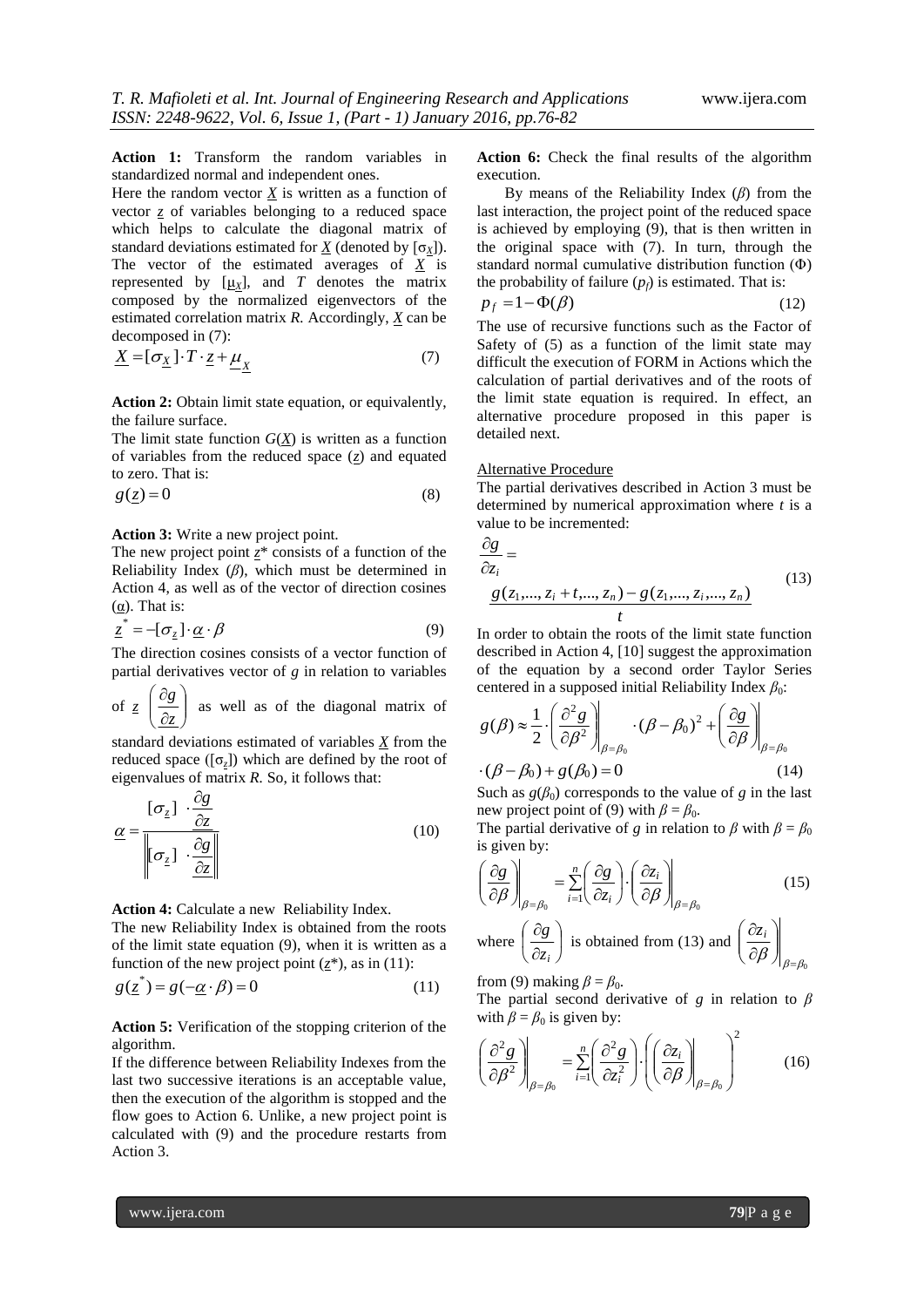**Action 1:** Transform the random variables in standardized normal and independent ones.

Here the random vector  $\underline{X}$  is written as a function of vector *z* of variables belonging to a reduced space which helps to calculate the diagonal matrix of standard deviations estimated for  $\underline{X}$  (denoted by  $[\sigma_X]$ ). The vector of the estimated averages of *X* is represented by  $[\underline{\mu}_X]$ , and *T* denotes the matrix composed by the normalized eigenvectors of the estimated correlation matrix *R.* Accordingly, *X* can be decomposed in (7):

$$
\underline{X} = [\sigma_{\underline{X}}] \cdot T \cdot \underline{z} + \underline{\mu}_{\underline{X}} \tag{7}
$$

**Action 2:** Obtain limit state equation, or equivalently, the failure surface.

The limit state function  $G(X)$  is written as a function of variables from the reduced space  $(z)$  and equated to zero. That is:

$$
g(\underline{z}) = 0 \tag{8}
$$

#### **Action 3:** Write a new project point.

The new project point  $z^*$  consists of a function of the Reliability Index (*β*), which must be determined in Action 4, as well as of the vector of direction cosines (α). That is:

$$
\underline{z}^* = -[\sigma_z] \cdot \underline{\alpha} \cdot \beta \tag{9}
$$

The direction cosines consists of a vector function of partial derivatives vector of *g* in relation to variables

of *z*  $\vert$  $\overline{\phantom{a}}$ J  $\mathcal{L}$ I I  $\setminus$ ſ  $\partial$  $\partial$ *z g* as well as of the diagonal matrix of

standard deviations estimated of variables *X* from the reduced space  $(\lceil \sigma_z \rceil)$  which are defined by the root of eigenvalues of matrix *R.* So, it follows that:

$$
\underline{\alpha} = \frac{[\sigma_z] \cdot \frac{\partial g}{\partial z}}{\left\| [\sigma_z] \cdot \frac{\partial g}{\partial z} \right\|} \tag{10}
$$

**Action 4:** Calculate a new Reliability Index.

The new Reliability Index is obtained from the roots of the limit state equation (9), when it is written as a function of the new project point  $(z^*)$ , as in (11):

$$
g(\underline{z}^*) = g(-\underline{\alpha} \cdot \beta) = 0 \tag{11}
$$

**Action 5:** Verification of the stopping criterion of the algorithm.

If the difference between Reliability Indexes from the last two successive iterations is an acceptable value, then the execution of the algorithm is stopped and the flow goes to Action 6. Unlike, a new project point is calculated with (9) and the procedure restarts from Action 3.

**Action 6:** Check the final results of the algorithm execution.

By means of the Reliability Index (*β*) from the last interaction, the project point of the reduced space is achieved by employing (9), that is then written in the original space with (7). In turn, through the standard normal cumulative distribution function (Φ) the probability of failure  $(p_f)$  is estimated. That is:

$$
p_f = 1 - \Phi(\beta) \tag{12}
$$

The use of recursive functions such as the Factor of Safety of (5) as a function of the limit state may difficult the execution of FORM in Actions which the calculation of partial derivatives and of the roots of the limit state equation is required. In effect, an alternative procedure proposed in this paper is detailed next.

#### Alternative Procedure

The partial derivatives described in Action 3 must be determined by numerical approximation where *t* is a value to be incremented:

$$
\frac{\partial g}{\partial z_i} = \frac{g(z_1, ..., z_i + t, ..., z_n) - g(z_1, ..., z_i, ..., z_n)}{t}
$$
(13)

In order to obtain the roots of the limit state function described in Action 4, [10] suggest the approximation of the equation by a second order Taylor Series centered in a supposed initial Reliability Index  $β_0$ :

$$
g(\beta) \approx \frac{1}{2} \cdot \left(\frac{\partial^2 g}{\partial \beta^2}\right)_{\beta=\beta_0} \cdot (\beta - \beta_0)^2 + \left(\frac{\partial g}{\partial \beta}\right)_{\beta=\beta_0}
$$
  
 
$$
\cdot (\beta - \beta_0) + g(\beta_0) = 0 \qquad (14)
$$

Such as  $g(\beta_0)$  corresponds to the value of g in the last new project point of (9) with  $\beta = \beta_0$ .

The partial derivative of *g* in relation to  $\beta$  with  $\beta = \beta_0$ is given by:

$$
\left(\frac{\partial g}{\partial \beta}\right)_{\beta=\beta_0} = \sum_{i=1}^n \left(\frac{\partial g}{\partial z_i}\right) \cdot \left(\frac{\partial z_i}{\partial \beta}\right)_{\beta=\beta_0}
$$
\nwhere  $\left(\frac{\partial g}{\partial \beta}\right)$  is obtained from (13) and  $\left(\frac{\partial z_i}{\partial \beta}\right)$ 

where 
$$
\left(\frac{\partial g}{\partial z_i}\right)
$$
 is obtained from (13) and  $\left(\frac{\partial z_i}{\partial \beta}\right)_{\beta=\beta_0}$ 

from (9) making  $\beta = \beta_0$ .

The partial second derivative of *g* in relation to *β* with  $\beta = \beta_0$  is given by:

$$
\left(\frac{\partial^2 g}{\partial \beta^2}\right)_{\beta=\beta_0} = \sum_{i=1}^n \left(\frac{\partial^2 g}{\partial z_i^2}\right) \cdot \left(\left(\frac{\partial z_i}{\partial \beta}\right)_{\beta=\beta_0}\right)^2 \tag{16}
$$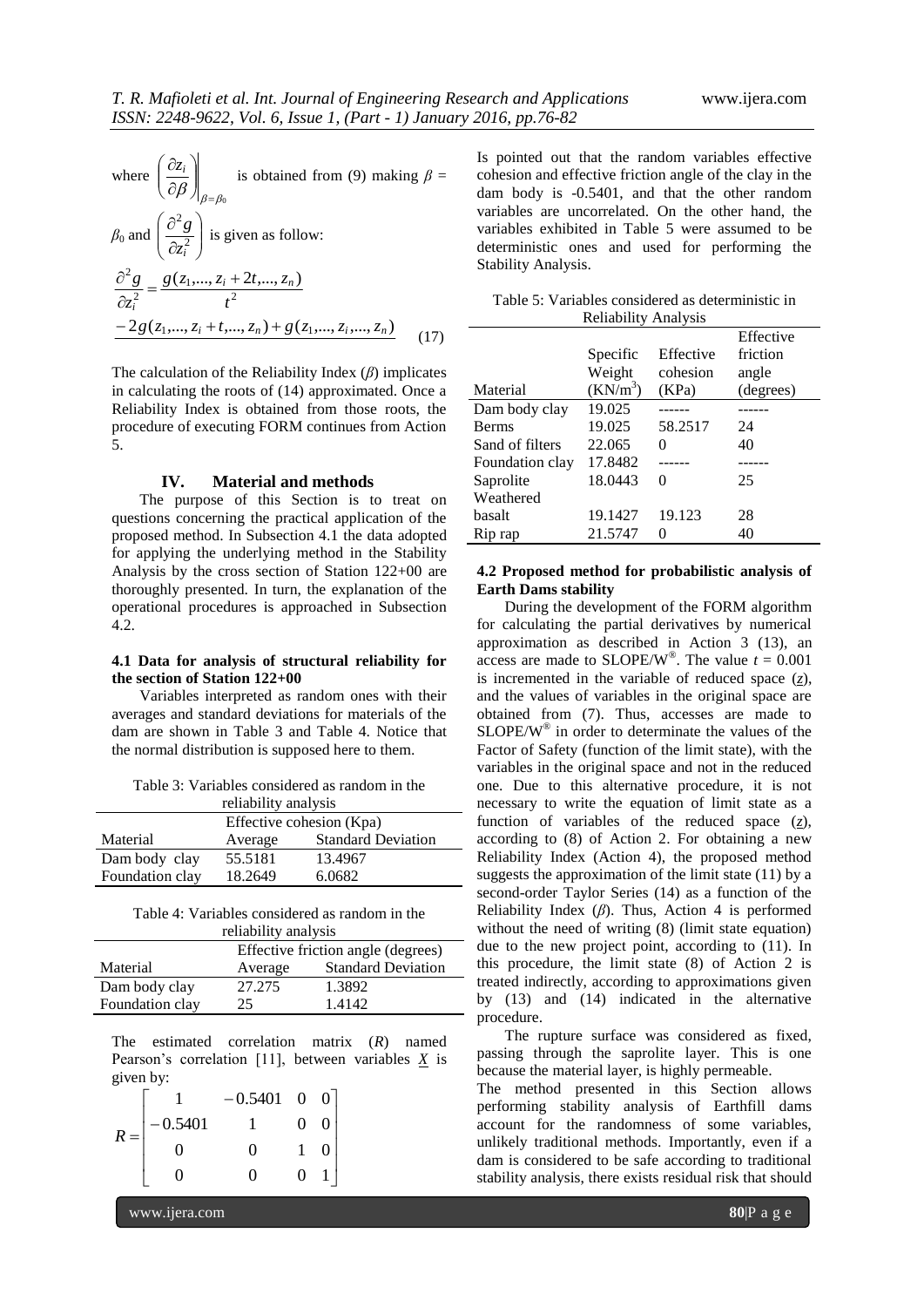where 
$$
\left(\frac{\partial z_i}{\partial \beta}\right)_{\beta=\beta_0}
$$
 is obtained from (9) making  $\beta =$   
\n $\beta_0$  and  $\left(\frac{\partial^2 g}{\partial z_i^2}\right)$  is given as follow:  
\n
$$
\frac{\partial^2 g}{\partial z_i^2} = \frac{g(z_1,..., z_i + 2t,..., z_n)}{t^2}
$$
\n
$$
-2g(z_1,..., z_i + t,..., z_n) + g(z_1,..., z_i,..., z_n)
$$
\n(17)

The calculation of the Reliability Index (*β*) implicates in calculating the roots of (14) approximated. Once a Reliability Index is obtained from those roots, the procedure of executing FORM continues from Action 5.

### **IV. Material and methods**

The purpose of this Section is to treat on questions concerning the practical application of the proposed method. In Subsection 4.1 the data adopted for applying the underlying method in the Stability Analysis by the cross section of Station 122+00 are thoroughly presented. In turn, the explanation of the operational procedures is approached in Subsection 4.2.

## **4.1 Data for analysis of structural reliability for the section of Station 122+00**

Variables interpreted as random ones with their averages and standard deviations for materials of the dam are shown in Table 3 and Table 4. Notice that the normal distribution is supposed here to them.

Table 3: Variables considered as random in the

| reliability analysis     |         |                           |  |
|--------------------------|---------|---------------------------|--|
| Effective cohesion (Kpa) |         |                           |  |
| Material                 | Average | <b>Standard Deviation</b> |  |
| Dam body clay            | 55.5181 | 13.4967                   |  |
| Foundation clay          | 18.2649 | 6.0682                    |  |

| Table 4: Variables considered as random in the |
|------------------------------------------------|
| reliability analysis                           |

|                 | Effective friction angle (degrees) |                           |  |
|-----------------|------------------------------------|---------------------------|--|
| Material        | Average                            | <b>Standard Deviation</b> |  |
| Dam body clay   | 27.275                             | 1.3892                    |  |
| Foundation clay | 25                                 | 1.4142                    |  |

The estimated correlation matrix (*R*) named Pearson's correlation [11], between variables  $\underline{X}$  is given by:

|       |           | $-0.5401$ | $0\quad 0$ |  |
|-------|-----------|-----------|------------|--|
| $R =$ | $-0.5401$ |           | $\Omega$   |  |
|       |           | $\Omega$  |            |  |
|       |           | 0         | ∩          |  |

Is pointed out that the random variables effective cohesion and effective friction angle of the clay in the dam body is -0.5401, and that the other random variables are uncorrelated. On the other hand, the variables exhibited in Table 5 were assumed to be deterministic ones and used for performing the Stability Analysis.

| Table 5: Variables considered as deterministic in |  |
|---------------------------------------------------|--|
| <b>Reliability Analysis</b>                       |  |

|                 |            |               | Effective |
|-----------------|------------|---------------|-----------|
|                 | Specific   | Effective     | friction  |
|                 | Weight     | cohesion      | angle     |
| Material        | $(KN/m^3)$ | (KPa)         | (degrees) |
| Dam body clay   | 19.025     |               |           |
| <b>Berms</b>    | 19.025     | 58.2517       | 24        |
| Sand of filters | 22.065     | 0             | 40        |
| Foundation clay | 17.8482    |               |           |
| Saprolite       | 18.0443    | 0             | 25        |
| Weathered       |            |               |           |
| basalt          | 19.1427    | 19.123        | 28        |
| Rip rap         | 21.5747    | $\mathcal{O}$ | 40        |

# **4.2 Proposed method for probabilistic analysis of Earth Dams stability**

During the development of the FORM algorithm for calculating the partial derivatives by numerical approximation as described in Action 3 (13), an access are made to SLOPE/W<sup>®</sup>. The value  $t = 0.001$ is incremented in the variable of reduced space  $(z)$ , and the values of variables in the original space are obtained from (7). Thus, accesses are made to  $SLOPE/W^{\circledast}$  in order to determinate the values of the Factor of Safety (function of the limit state), with the variables in the original space and not in the reduced one. Due to this alternative procedure, it is not necessary to write the equation of limit state as a function of variables of the reduced space  $(z)$ , according to (8) of Action 2. For obtaining a new Reliability Index (Action 4), the proposed method suggests the approximation of the limit state (11) by a second-order Taylor Series (14) as a function of the Reliability Index (*β*). Thus, Action 4 is performed without the need of writing  $(8)$  (limit state equation) due to the new project point, according to (11). In this procedure, the limit state (8) of Action 2 is treated indirectly, according to approximations given by (13) and (14) indicated in the alternative procedure.

The rupture surface was considered as fixed, passing through the saprolite layer. This is one because the material layer, is highly permeable.

The method presented in this Section allows performing stability analysis of Earthfill dams account for the randomness of some variables, unlikely traditional methods. Importantly, even if a dam is considered to be safe according to traditional stability analysis, there exists residual risk that should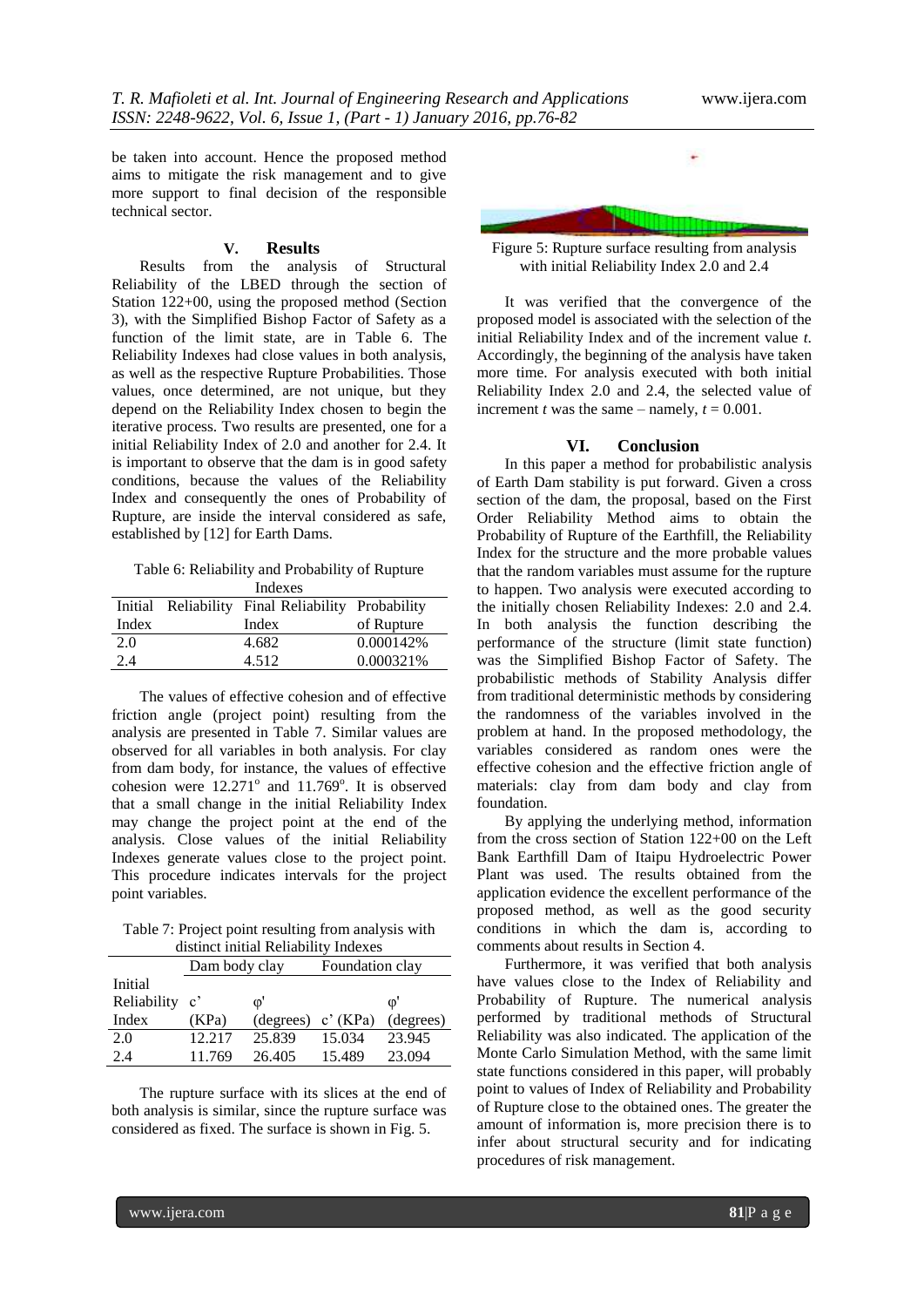be taken into account. Hence the proposed method aims to mitigate the risk management and to give more support to final decision of the responsible technical sector.

#### **V. Results**

Results from the analysis of Structural Reliability of the LBED through the section of Station 122+00, using the proposed method (Section 3), with the Simplified Bishop Factor of Safety as a function of the limit state, are in Table 6. The Reliability Indexes had close values in both analysis, as well as the respective Rupture Probabilities. Those values, once determined, are not unique, but they depend on the Reliability Index chosen to begin the iterative process. Two results are presented, one for a initial Reliability Index of 2.0 and another for 2.4. It is important to observe that the dam is in good safety conditions, because the values of the Reliability Index and consequently the ones of Probability of Rupture, are inside the interval considered as safe, established by [12] for Earth Dams.

Table 6: Reliability and Probability of Rupture

| Indexes |  |                                                   |            |
|---------|--|---------------------------------------------------|------------|
|         |  | Initial Reliability Final Reliability Probability |            |
| Index   |  | Index                                             | of Rupture |
| 2.0     |  | 4.682                                             | 0.000142\% |
| 2.4     |  | 4.512                                             | 0.000321%  |

The values of effective cohesion and of effective friction angle (project point) resulting from the analysis are presented in Table 7. Similar values are observed for all variables in both analysis. For clay from dam body, for instance, the values of effective cohesion were  $12.271^{\circ}$  and  $11.769^{\circ}$ . It is observed that a small change in the initial Reliability Index may change the project point at the end of the analysis. Close values of the initial Reliability Indexes generate values close to the project point. This procedure indicates intervals for the project point variables.

Table 7: Project point resulting from analysis with distinct initial Reliability Indexes

|             | Dam body clay         |              | Foundation clay |           |
|-------------|-----------------------|--------------|-----------------|-----------|
| Initial     |                       |              |                 |           |
| Reliability | $\mathbf{c}^{\prime}$ | $\mathbb{O}$ |                 | $\Phi$    |
| Index       | (KPa)                 | (degrees)    | c'(KPa)         | (degrees) |
| 2.0         | 12.217                | 25.839       | 15.034          | 23.945    |
| 2.4         | 11.769                | 26.405       | 15.489          | 23.094    |

The rupture surface with its slices at the end of both analysis is similar, since the rupture surface was considered as fixed. The surface is shown in Fig. 5.



Figure 5: Rupture surface resulting from analysis with initial Reliability Index 2.0 and 2.4

It was verified that the convergence of the proposed model is associated with the selection of the initial Reliability Index and of the increment value *t*. Accordingly, the beginning of the analysis have taken more time. For analysis executed with both initial Reliability Index 2.0 and 2.4, the selected value of increment *t* was the same – namely,  $t = 0.001$ .

### **VI. Conclusion**

In this paper a method for probabilistic analysis of Earth Dam stability is put forward. Given a cross section of the dam, the proposal, based on the First Order Reliability Method aims to obtain the Probability of Rupture of the Earthfill, the Reliability Index for the structure and the more probable values that the random variables must assume for the rupture to happen. Two analysis were executed according to the initially chosen Reliability Indexes: 2.0 and 2.4. In both analysis the function describing the performance of the structure (limit state function) was the Simplified Bishop Factor of Safety. The probabilistic methods of Stability Analysis differ from traditional deterministic methods by considering the randomness of the variables involved in the problem at hand. In the proposed methodology, the variables considered as random ones were the effective cohesion and the effective friction angle of materials: clay from dam body and clay from foundation.

By applying the underlying method, information from the cross section of Station 122+00 on the Left Bank Earthfill Dam of Itaipu Hydroelectric Power Plant was used. The results obtained from the application evidence the excellent performance of the proposed method, as well as the good security conditions in which the dam is, according to comments about results in Section 4.

Furthermore, it was verified that both analysis have values close to the Index of Reliability and Probability of Rupture. The numerical analysis performed by traditional methods of Structural Reliability was also indicated. The application of the Monte Carlo Simulation Method, with the same limit state functions considered in this paper, will probably point to values of Index of Reliability and Probability of Rupture close to the obtained ones. The greater the amount of information is, more precision there is to infer about structural security and for indicating procedures of risk management.